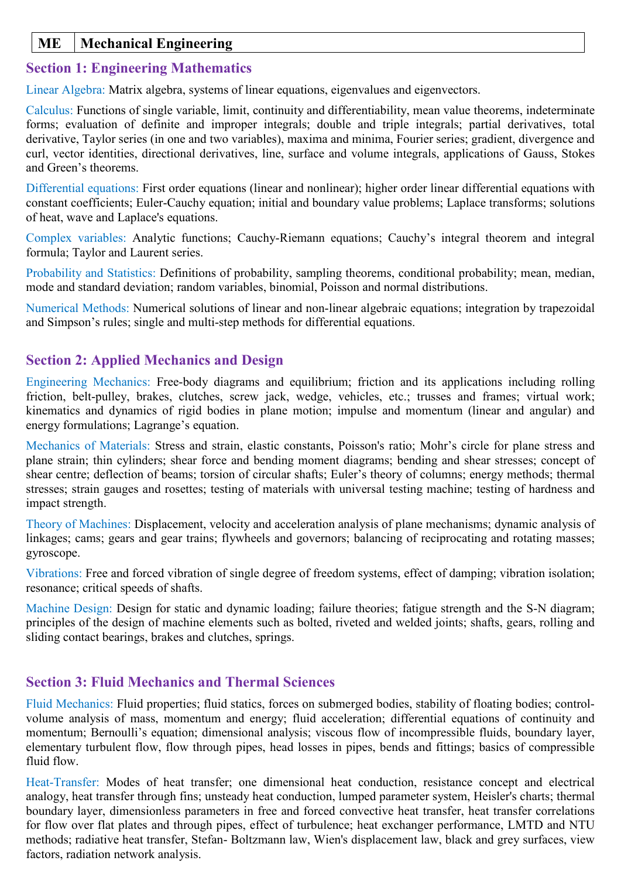### **ME Mechanical Engineering**

# **Section 1: Engineering Mathematics**

Linear Algebra: Matrix algebra, systems of linear equations, eigenvalues and eigenvectors.

Calculus: Functions of single variable, limit, continuity and differentiability, mean value theorems, indeterminate forms; evaluation of definite and improper integrals; double and triple integrals; partial derivatives, total derivative, Taylor series (in one and two variables), maxima and minima, Fourier series; gradient, divergence and curl, vector identities, directional derivatives, line, surface and volume integrals, applications of Gauss, Stokes and Green's theorems.

Differential equations: First order equations (linear and nonlinear); higher order linear differential equations with constant coefficients; Euler-Cauchy equation; initial and boundary value problems; Laplace transforms; solutions of heat, wave and Laplace's equations.

Complex variables: Analytic functions; Cauchy-Riemann equations; Cauchy's integral theorem and integral formula; Taylor and Laurent series.

Probability and Statistics: Definitions of probability, sampling theorems, conditional probability; mean, median, mode and standard deviation; random variables, binomial, Poisson and normal distributions.

Numerical Methods: Numerical solutions of linear and non-linear algebraic equations; integration by trapezoidal and Simpson's rules; single and multi-step methods for differential equations.

# **Section 2: Applied Mechanics and Design**

Engineering Mechanics: Free-body diagrams and equilibrium; friction and its applications including rolling friction, belt-pulley, brakes, clutches, screw jack, wedge, vehicles, etc.; trusses and frames; virtual work; kinematics and dynamics of rigid bodies in plane motion; impulse and momentum (linear and angular) and energy formulations; Lagrange's equation.

Mechanics of Materials: Stress and strain, elastic constants, Poisson's ratio; Mohr's circle for plane stress and plane strain; thin cylinders; shear force and bending moment diagrams; bending and shear stresses; concept of shear centre; deflection of beams; torsion of circular shafts; Euler's theory of columns; energy methods; thermal stresses; strain gauges and rosettes; testing of materials with universal testing machine; testing of hardness and impact strength.

Theory of Machines: Displacement, velocity and acceleration analysis of plane mechanisms; dynamic analysis of linkages; cams; gears and gear trains; flywheels and governors; balancing of reciprocating and rotating masses; gyroscope.

Vibrations: Free and forced vibration of single degree of freedom systems, effect of damping; vibration isolation; resonance; critical speeds of shafts.

Machine Design: Design for static and dynamic loading; failure theories; fatigue strength and the S-N diagram; principles of the design of machine elements such as bolted, riveted and welded joints; shafts, gears, rolling and sliding contact bearings, brakes and clutches, springs.

### **Section 3: Fluid Mechanics and Thermal Sciences**

Fluid Mechanics: Fluid properties; fluid statics, forces on submerged bodies, stability of floating bodies; controlvolume analysis of mass, momentum and energy; fluid acceleration; differential equations of continuity and momentum; Bernoulli's equation; dimensional analysis; viscous flow of incompressible fluids, boundary layer, elementary turbulent flow, flow through pipes, head losses in pipes, bends and fittings; basics of compressible fluid flow.

Heat-Transfer: Modes of heat transfer; one dimensional heat conduction, resistance concept and electrical analogy, heat transfer through fins; unsteady heat conduction, lumped parameter system, Heisler's charts; thermal boundary layer, dimensionless parameters in free and forced convective heat transfer, heat transfer correlations for flow over flat plates and through pipes, effect of turbulence; heat exchanger performance, LMTD and NTU methods; radiative heat transfer, Stefan- Boltzmann law, Wien's displacement law, black and grey surfaces, view factors, radiation network analysis.